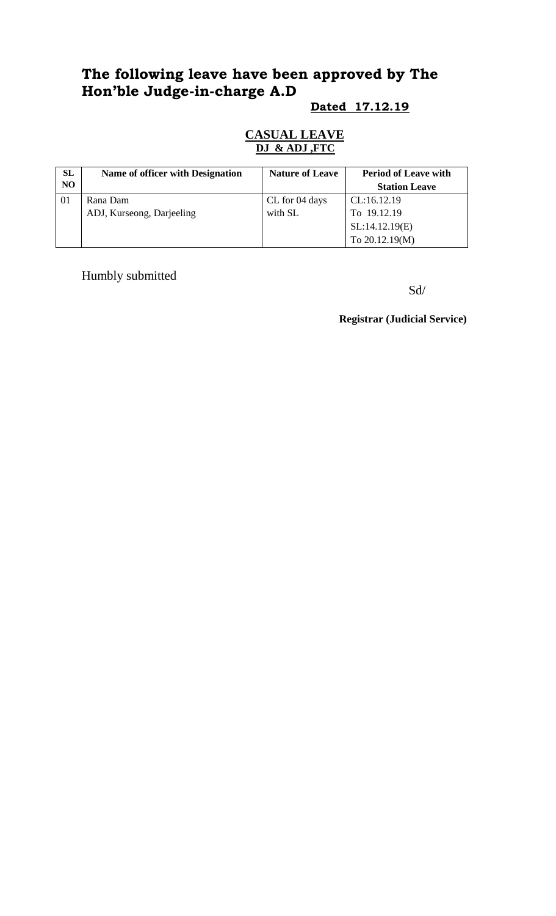# **The following leave have been approved by The Hon'ble Judge-in-charge A.D**

#### **Dated 17.12.19**

#### **CASUAL LEAVE DJ & ADJ ,FTC**

| <b>SL</b>      | Name of officer with Designation | <b>Nature of Leave</b> | <b>Period of Leave with</b> |
|----------------|----------------------------------|------------------------|-----------------------------|
| N <sub>O</sub> |                                  |                        | <b>Station Leave</b>        |
| 01             | Rana Dam                         | CL for 04 days         | CL:16.12.19                 |
|                | ADJ, Kurseong, Darjeeling        | with SL                | To 19.12.19                 |
|                |                                  |                        | SL:14.12.19(E)              |
|                |                                  |                        | To 20.12.19(M)              |

Humbly submitted

Sd/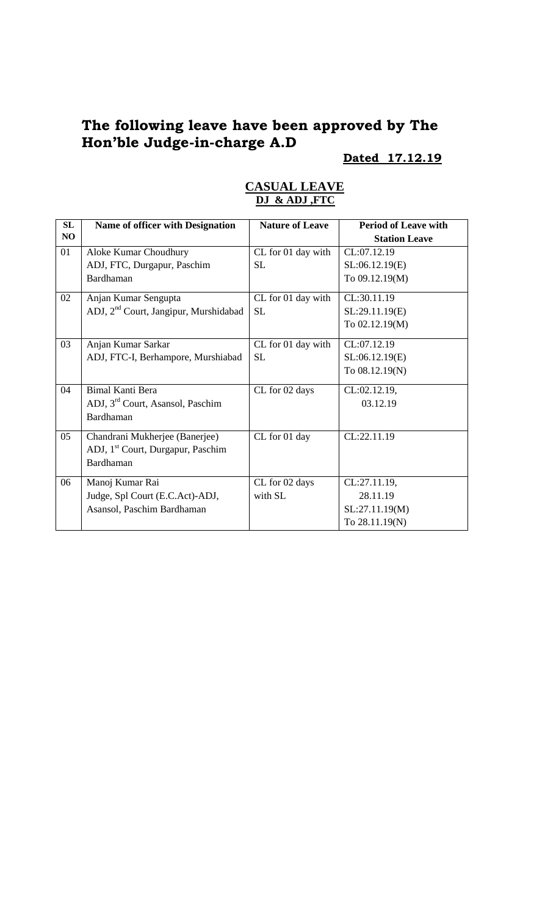## **The following leave have been approved by The Hon'ble Judge-in-charge A.D**

## **Dated 17.12.19**

| SL | <b>Name of officer with Designation</b>           | <b>Nature of Leave</b> | <b>Period of Leave with</b> |
|----|---------------------------------------------------|------------------------|-----------------------------|
| NO |                                                   |                        | <b>Station Leave</b>        |
| 01 | Aloke Kumar Choudhury                             | CL for 01 day with     | CL:07.12.19                 |
|    | ADJ, FTC, Durgapur, Paschim                       | <b>SL</b>              | SL:06.12.19(E)              |
|    | Bardhaman                                         |                        | To 09.12.19(M)              |
| 02 | Anjan Kumar Sengupta                              | CL for 01 day with     | CL:30.11.19                 |
|    | ADJ, 2 <sup>nd</sup> Court, Jangipur, Murshidabad | <b>SL</b>              | SL:29.11.19(E)              |
|    |                                                   |                        | To 02.12.19(M)              |
| 03 | Anjan Kumar Sarkar                                | CL for 01 day with     | CL:07.12.19                 |
|    | ADJ, FTC-I, Berhampore, Murshiabad                | <b>SL</b>              | SL:06.12.19(E)              |
|    |                                                   |                        | To 08.12.19(N)              |
| 04 | <b>Bimal Kanti Bera</b>                           | CL for 02 days         | CL:02.12.19,                |
|    | ADJ, 3 <sup>rd</sup> Court, Asansol, Paschim      |                        | 03.12.19                    |
|    | Bardhaman                                         |                        |                             |
| 05 | Chandrani Mukherjee (Banerjee)                    | CL for 01 day          | CL:22.11.19                 |
|    | ADJ, 1 <sup>st</sup> Court, Durgapur, Paschim     |                        |                             |
|    | Bardhaman                                         |                        |                             |
| 06 | Manoj Kumar Rai                                   | CL for 02 days         | CL:27.11.19,                |
|    | Judge, Spl Court (E.C.Act)-ADJ,                   | with SL                | 28.11.19                    |
|    | Asansol, Paschim Bardhaman                        |                        | SL:27.11.19(M)              |
|    |                                                   |                        | To 28.11.19(N)              |

#### **CASUAL LEAVE DJ & ADJ ,FTC**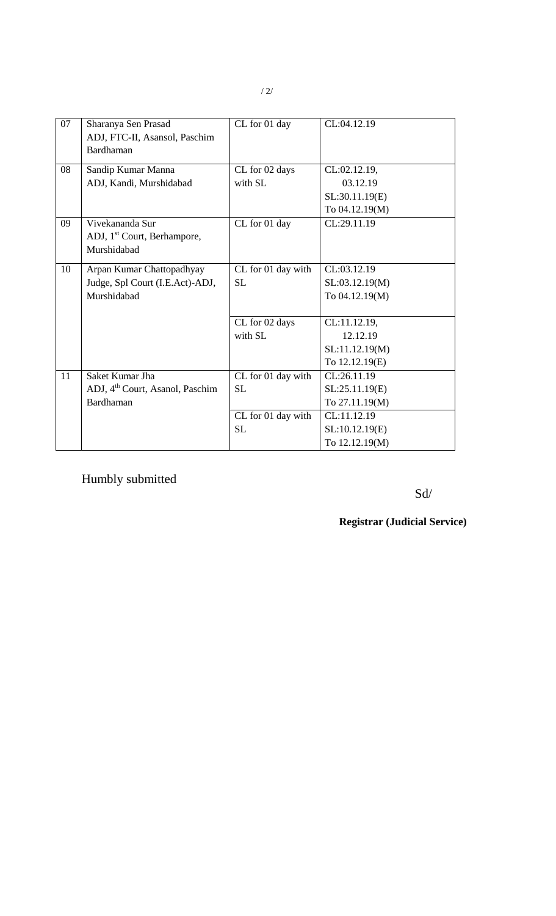| 07 | Sharanya Sen Prasad<br>ADJ, FTC-II, Asansol, Paschim<br>Bardhaman | CL for 01 day      | CL:04.12.19    |
|----|-------------------------------------------------------------------|--------------------|----------------|
| 08 | Sandip Kumar Manna                                                | CL for 02 days     | CL:02.12.19,   |
|    | ADJ, Kandi, Murshidabad                                           | with SL            | 03.12.19       |
|    |                                                                   |                    | SL:30.11.19(E) |
|    |                                                                   |                    | To 04.12.19(M) |
| 09 | Vivekananda Sur                                                   | CL for 01 day      | CL:29.11.19    |
|    | ADJ, 1 <sup>st</sup> Court, Berhampore,                           |                    |                |
|    | Murshidabad                                                       |                    |                |
| 10 | Arpan Kumar Chattopadhyay                                         | CL for 01 day with | CL:03.12.19    |
|    | Judge, Spl Court (I.E.Act)-ADJ,                                   | <b>SL</b>          | SL:03.12.19(M) |
|    | Murshidabad                                                       |                    | To 04.12.19(M) |
|    |                                                                   |                    |                |
|    |                                                                   | CL for 02 days     | CL:11.12.19,   |
|    |                                                                   | with SL            | 12.12.19       |
|    |                                                                   |                    | SL:11.12.19(M) |
|    |                                                                   |                    | To 12.12.19(E) |
| 11 | Saket Kumar Jha                                                   | CL for 01 day with | CL:26.11.19    |
|    | ADJ, 4 <sup>th</sup> Court, Asanol, Paschim                       | <b>SL</b>          | SL:25.11.19(E) |
|    | Bardhaman                                                         |                    | To 27.11.19(M) |
|    |                                                                   | CL for 01 day with | CL:11.12.19    |
|    |                                                                   | <b>SL</b>          | SL:10.12.19(E) |
|    |                                                                   |                    | To 12.12.19(M) |

Humbly submitted

Sd/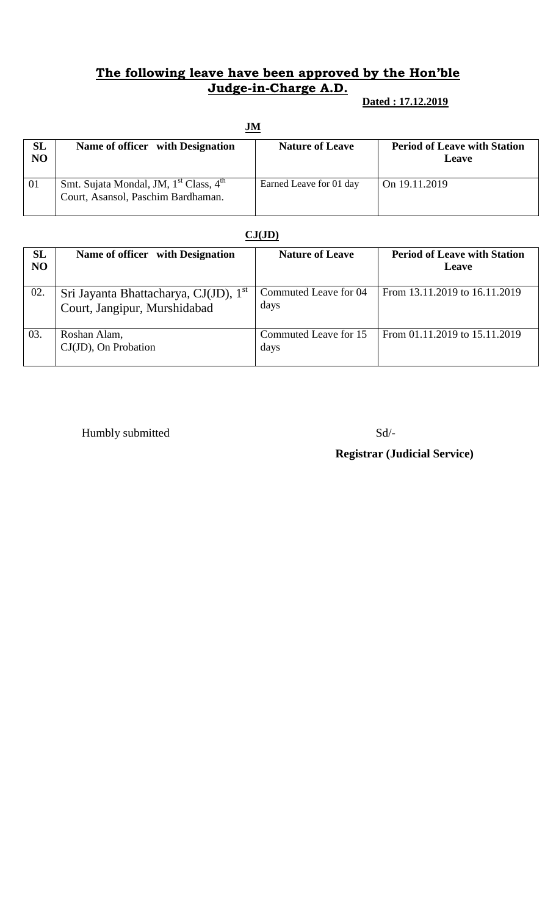### **The following leave have been approved by the Hon'ble Judge-in-Charge A.D.**

#### **Dated : 17.12.2019**

| $\mathbf{J}\mathbf{M}$ |                                                                                                      |                         |                                              |
|------------------------|------------------------------------------------------------------------------------------------------|-------------------------|----------------------------------------------|
| <b>SL</b><br>NO        | Name of officer with Designation                                                                     | <b>Nature of Leave</b>  | <b>Period of Leave with Station</b><br>Leave |
| 01                     | Smt. Sujata Mondal, JM, 1 <sup>st</sup> Class, 4 <sup>th</sup><br>Court, Asansol, Paschim Bardhaman. | Earned Leave for 01 day | On 19.11.2019                                |

#### **CJ(JD)**

| <b>SL</b><br>NO | Name of officer with Designation                                                  | <b>Nature of Leave</b>        | <b>Period of Leave with Station</b><br><b>Leave</b> |
|-----------------|-----------------------------------------------------------------------------------|-------------------------------|-----------------------------------------------------|
| 02.             | Sri Jayanta Bhattacharya, CJ(JD), 1 <sup>st</sup><br>Court, Jangipur, Murshidabad | Commuted Leave for 04<br>days | From 13.11.2019 to 16.11.2019                       |
| 03.             | Roshan Alam,<br>$CJ(JD)$ , On Probation                                           | Commuted Leave for 15<br>days | From 01.11.2019 to 15.11.2019                       |

Humbly submitted Sd/-